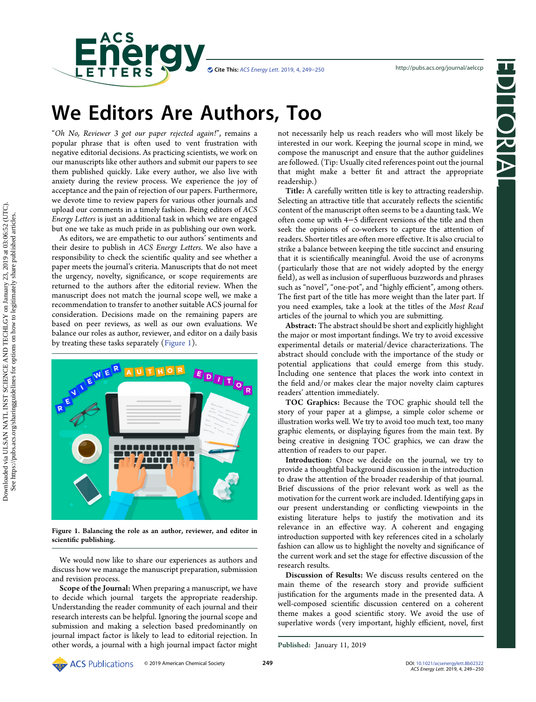



# We Editors Are Authors, Too

"Oh No, Reviewer 3 got our paper rejected again!", remains a popular phrase that is often used to vent frustration with negative editorial decisions. As practicing scientists, we work on our manuscripts like other authors and submit our papers to see them published quickly. Like every author, we also live with anxiety during the review process. We experience the joy of acceptance and the pain of rejection of our papers. Furthermore, we devote time to review papers for various other journals and upload our comments in a timely fashion. Being editors of ACS Energy Letters is just an additional task in which we are engaged but one we take as much pride in as publishing our own work.

**Energy** 

As editors, we are empathetic to our authors' sentiments and their desire to publish in ACS Energy Letters. We also have a responsibility to check the scientific quality and see whether a paper meets the journal's criteria. Manuscripts that do not meet the urgency, novelty, significance, or scope requirements are returned to the authors after the editorial review. When the manuscript does not match the journal scope well, we make a recommendation to transfer to another suitable ACS journal for consideration. Decisions made on the remaining papers are based on peer reviews, as well as our own evaluations. We balance our roles as author, reviewer, and editor on a daily basis by treating these tasks separately (Figure 1).



Figure 1. Balancing the role as an author, reviewer, and editor in scientific publishing.

We would now like to share our experiences as authors and discuss how we manage the manuscript preparation, submission and revision process.

Scope of the Journal: When preparing a manuscript, we have to decide which journal targets the appropriate readership. Understanding the reader community of each journal and their research interests can be helpful. Ignoring the journal scope and submission and making a selection based predominantly on journal impact factor is likely to lead to editorial rejection. In other words, a journal with a high journal impact factor might not necessarily help us reach readers who will most likely be interested in our work. Keeping the journal scope in mind, we compose the manuscript and ensure that the author guidelines are followed. (Tip: Usually cited references point out the journal that might make a better fit and attract the appropriate readership.)

Title: A carefully written title is key to attracting readership. Selecting an attractive title that accurately reflects the scientific content of the manuscript often seems to be a daunting task. We often come up with 4−5 different versions of the title and then seek the opinions of co-workers to capture the attention of readers. Shorter titles are often more effective. It is also crucial to strike a balance between keeping the title succinct and ensuring that it is scientifically meaningful. Avoid the use of acronyms (particularly those that are not widely adopted by the energy field), as well as inclusion of superfluous buzzwords and phrases such as "novel", "one-pot", and "highly efficient", among others. The first part of the title has more weight than the later part. If you need examples, take a look at the titles of the Most Read articles of the journal to which you are submitting.

Abstract: The abstract should be short and explicitly highlight the major or most important findings. We try to avoid excessive experimental details or material/device characterizations. The abstract should conclude with the importance of the study or potential applications that could emerge from this study. Including one sentence that places the work into context in the field and/or makes clear the major novelty claim captures readers' attention immediately.

TOC Graphics: Because the TOC graphic should tell the story of your paper at a glimpse, a simple color scheme or illustration works well. We try to avoid too much text, too many graphic elements, or displaying figures from the main text. By being creative in designing TOC graphics, we can draw the attention of readers to our paper.

Introduction: Once we decide on the journal, we try to provide a thoughtful background discussion in the introduction to draw the attention of the broader readership of that journal. Brief discussions of the prior relevant work as well as the motivation for the current work are included. Identifying gaps in our present understanding or conflicting viewpoints in the existing literature helps to justify the motivation and its relevance in an effective way. A coherent and engaging introduction supported with key references cited in a scholarly fashion can allow us to highlight the novelty and significance of the current work and set the stage for effective discussion of the research results.

Discussion of Results: We discuss results centered on the main theme of the research story and provide sufficient justification for the arguments made in the presented data. A well-composed scientific discussion centered on a coherent theme makes a good scientific story. We avoid the use of superlative words (very important, highly efficient, novel, first

Published: January 11, 2019

**ACS** Publications © 2019 American Chemical Society **249**